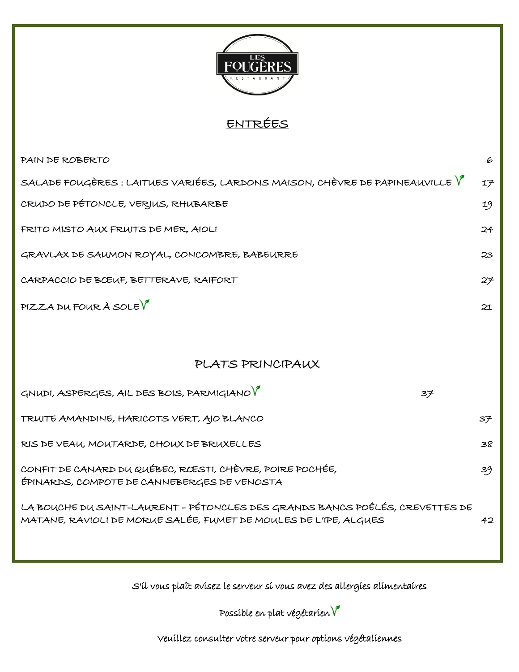

## ENTRÉES

| PAIN DE ROBERTO                                                                                                                                  | 6  |
|--------------------------------------------------------------------------------------------------------------------------------------------------|----|
| SALADE FOUGÈRES : LAITUES VARIÉES, LARDONS MAISON, CHÈVRE DE PAPINEAUVILLE $\bm{V}$                                                              | 17 |
| CRUDO DE PÉTONCLE, VERJUS, RHUBARBE                                                                                                              | 19 |
| FRITO MISTO AUX FRUITS DE MER, AIOLI                                                                                                             | 24 |
| GRAVLAX DE SAUMON ROYAL, CONCOMBRE, BABEURRE                                                                                                     | 23 |
| CARPACCIO DE BCEUF, BETTERAVE, RAIFORT                                                                                                           | 27 |
| $PIZZA$ DU FOUR À SOLE $\sqrt{\ }$                                                                                                               | 21 |
|                                                                                                                                                  |    |
| PLATS PRINCIPAUX                                                                                                                                 |    |
| GNUDI, ASPERGES, AIL DES BOIS, PARMIGIANO V<br>37                                                                                                |    |
| TRUITE AMANDINE, HARICOTS VERT, AJO BLANCO                                                                                                       | 37 |
| RIS DE VEAU, MOUTARDE, CHOUX DE BRUXELLES                                                                                                        | 38 |
| CONFIT DE CANARD DU QUÉBEC, RŒSTI, CHÈVRE, POIRE POCHÉE,<br>ÉPINARDS, COMPOTE DE CANNEBERGES DE VENOSTA                                          | 39 |
| LA BOUCHE DU SAINT-LAURENT – PÉTONCLES DES GRANDS BANCS POÊLÉS, CREVETTES DE<br>MATANE, RAVIOLI DE MORUE SALÉE, FUMET DE MOULES DE L'IPE, ALGUES | 42 |

S'il vous plaît avisez le serveur si vous avez des allergies alimentaires

Possíble en plat végétarien  $\boldsymbol{V}$ 

Veuillez consulter votre serveur pour options végétaliennes